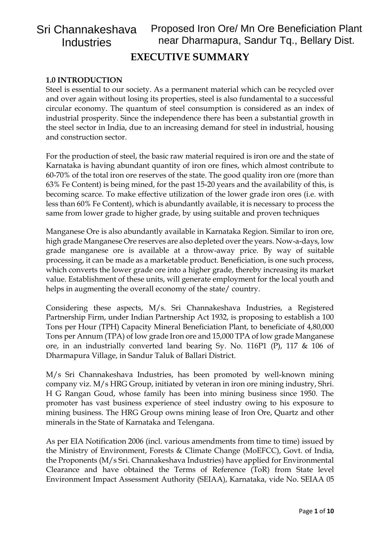# **1.0 INTRODUCTION**

Steel is essential to our society. As a permanent material which can be recycled over and over again without losing its properties, steel is also fundamental to a successful circular economy. The quantum of steel consumption is considered as an index of industrial prosperity. Since the independence there has been a substantial growth in the steel sector in India, due to an increasing demand for steel in industrial, housing and construction sector.

For the production of steel, the basic raw material required is iron ore and the state of Karnataka is having abundant quantity of iron ore fines, which almost contribute to 60-70% of the total iron ore reserves of the state. The good quality iron ore (more than 63% Fe Content) is being mined, for the past 15-20 years and the availability of this, is becoming scarce. To make effective utilization of the lower grade iron ores (i.e. with less than 60% Fe Content), which is abundantly available, it is necessary to process the same from lower grade to higher grade, by using suitable and proven techniques

Manganese Ore is also abundantly available in Karnataka Region. Similar to iron ore, high grade Manganese Ore reserves are also depleted over the years. Now-a-days, low grade manganese ore is available at a throw-away price. By way of suitable processing, it can be made as a marketable product. Beneficiation, is one such process, which converts the lower grade ore into a higher grade, thereby increasing its market value. Establishment of these units, will generate employment for the local youth and helps in augmenting the overall economy of the state/country.

Considering these aspects, M/s. Sri Channakeshava Industries, a Registered Partnership Firm, under Indian Partnership Act 1932, is proposing to establish a 100 Tons per Hour (TPH) Capacity Mineral Beneficiation Plant, to beneficiate of 4,80,000 Tons per Annum (TPA) of low grade Iron ore and 15,000 TPA of low grade Manganese ore, in an industrially converted land bearing Sy. No. 116P1 (P), 117 & 106 of Dharmapura Village, in Sandur Taluk of Ballari District.

M/s Sri Channakeshava Industries, has been promoted by well-known mining company viz. M/s HRG Group, initiated by veteran in iron ore mining industry, Shri. H G Rangan Goud, whose family has been into mining business since 1950. The promoter has vast business experience of steel industry owing to his exposure to mining business. The HRG Group owns mining lease of Iron Ore, Quartz and other minerals in the State of Karnataka and Telengana.

As per EIA Notification 2006 (incl. various amendments from time to time) issued by the Ministry of Environment, Forests & Climate Change (MoEFCC), Govt. of India, the Proponents (M/s Sri. Channakeshava Industries) have applied for Environmental Clearance and have obtained the Terms of Reference (ToR) from State level Environment Impact Assessment Authority (SEIAA), Karnataka, vide No. SEIAA 05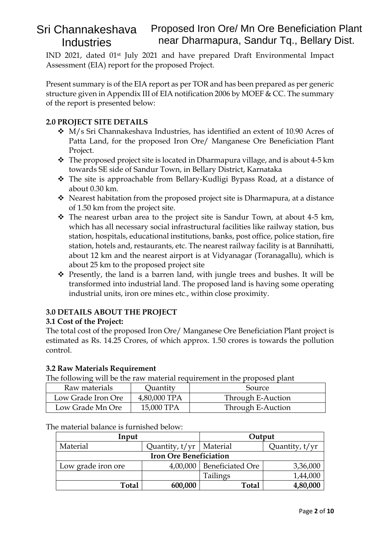IND 2021, dated 01st July 2021 and have prepared Draft Environmental Impact Assessment (EIA) report for the proposed Project.

Present summary is of the EIA report as per TOR and has been prepared as per generic structure given in Appendix III of EIA notification 2006 by MOEF & CC. The summary of the report is presented below:

# **2.0 PROJECT SITE DETAILS**

- ❖ M/s Sri Channakeshava Industries, has identified an extent of 10.90 Acres of Patta Land, for the proposed Iron Ore/ Manganese Ore Beneficiation Plant Project.
- $\cdot \cdot$  The proposed project site is located in Dharmapura village, and is about 4-5 km towards SE side of Sandur Town, in Bellary District, Karnataka
- ❖ The site is approachable from Bellary-Kudligi Bypass Road, at a distance of about 0.30 km.
- ❖ Nearest habitation from the proposed project site is Dharmapura, at a distance of 1.50 km from the project site.
- ❖ The nearest urban area to the project site is Sandur Town, at about 4-5 km, which has all necessary social infrastructural facilities like railway station, bus station, hospitals, educational institutions, banks, post office, police station, fire station, hotels and, restaurants, etc. The nearest railway facility is at Bannihatti, about 12 km and the nearest airport is at Vidyanagar (Toranagallu), which is about 25 km to the proposed project site
- ❖ Presently, the land is a barren land, with jungle trees and bushes. It will be transformed into industrial land. The proposed land is having some operating industrial units, iron ore mines etc., within close proximity.

# **3.0 DETAILS ABOUT THE PROJECT**

## **3.1 Cost of the Project:**

The total cost of the proposed Iron Ore/ Manganese Ore Beneficiation Plant project is estimated as Rs. 14.25 Crores, of which approx. 1.50 crores is towards the pollution control.

## **3.2 Raw Materials Requirement**

The following will be the raw material requirement in the proposed plant

| Raw materials      | Quantity     | Source            |
|--------------------|--------------|-------------------|
| Low Grade Iron Ore | 4,80,000 TPA | Through E-Auction |
| Low Grade Mn Ore   | 15,000 TPA   | Through E-Auction |

| Input                         |                           | Output           |          |
|-------------------------------|---------------------------|------------------|----------|
| Material                      | Quantity, t/yr   Material | Quantity, t/yr   |          |
| <b>Iron Ore Beneficiation</b> |                           |                  |          |
| Low grade iron ore            | 4,00,000                  | Beneficiated Ore | 3,36,000 |
|                               |                           | Tailings         | 1,44,000 |
| Total                         | 600,000                   | <b>Total</b>     | 4,80,000 |

The material balance is furnished below: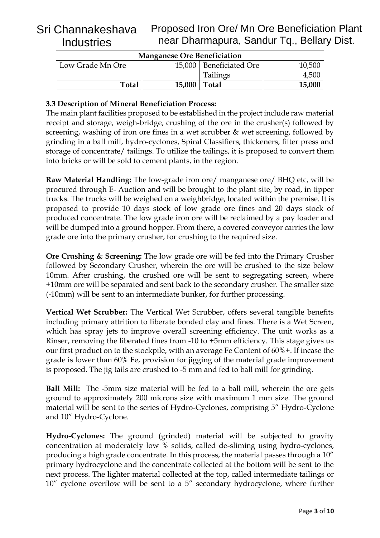| <b>Manganese Ore Beneficiation</b> |        |                           |        |
|------------------------------------|--------|---------------------------|--------|
| Low Grade Mn Ore                   |        | 15,000   Beneficiated Ore | 10,500 |
|                                    |        | <b>Tailings</b>           | 4,500  |
| Total                              | 15,000 | Total                     | 15,000 |

# **3.3 Description of Mineral Beneficiation Process:**

The main plant facilities proposed to be established in the project include raw material receipt and storage, weigh-bridge, crushing of the ore in the crusher(s) followed by screening, washing of iron ore fines in a wet scrubber & wet screening, followed by grinding in a ball mill, hydro-cyclones, Spiral Classifiers, thickeners, filter press and storage of concentrate/ tailings. To utilize the tailings, it is proposed to convert them into bricks or will be sold to cement plants, in the region.

**Raw Material Handling:** The low-grade iron ore/ manganese ore/ BHQ etc, will be procured through E- Auction and will be brought to the plant site, by road, in tipper trucks. The trucks will be weighed on a weighbridge, located within the premise. It is proposed to provide 10 days stock of low grade ore fines and 20 days stock of produced concentrate. The low grade iron ore will be reclaimed by a pay loader and will be dumped into a ground hopper. From there, a covered conveyor carries the low grade ore into the primary crusher, for crushing to the required size.

**Ore Crushing & Screening:** The low grade ore will be fed into the Primary Crusher followed by Secondary Crusher, wherein the ore will be crushed to the size below 10mm. After crushing, the crushed ore will be sent to segregating screen, where +10mm ore will be separated and sent back to the secondary crusher. The smaller size (-10mm) will be sent to an intermediate bunker, for further processing.

**Vertical Wet Scrubber:** The Vertical Wet Scrubber, offers several tangible benefits including primary attrition to liberate bonded clay and fines. There is a Wet Screen, which has spray jets to improve overall screening efficiency. The unit works as a Rinser, removing the liberated fines from -10 to +5mm efficiency. This stage gives us our first product on to the stockpile, with an average Fe Content of 60%+. If incase the grade is lower than 60% Fe, provision for jigging of the material grade improvement is proposed. The jig tails are crushed to -5 mm and fed to ball mill for grinding.

**Ball Mill:** The -5mm size material will be fed to a ball mill, wherein the ore gets ground to approximately 200 microns size with maximum 1 mm size. The ground material will be sent to the series of Hydro-Cyclones, comprising 5" Hydro-Cyclone and 10" Hydro-Cyclone.

**Hydro-Cyclones:** The ground (grinded) material will be subjected to gravity concentration at moderately low % solids, called de-sliming using hydro-cyclones, producing a high grade concentrate. In this process, the material passes through a 10" primary hydrocyclone and the concentrate collected at the bottom will be sent to the next process. The lighter material collected at the top, called intermediate tailings or 10" cyclone overflow will be sent to a 5" secondary hydrocyclone, where further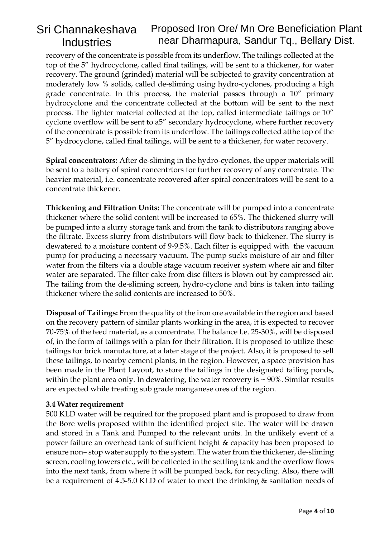recovery of the concentrate is possible from its underflow. The tailings collected at the top of the 5" hydrocyclone, called final tailings, will be sent to a thickener, for water recovery. The ground (grinded) material will be subjected to gravity concentration at moderately low % solids, called de-sliming using hydro-cyclones, producing a high grade concentrate. In this process, the material passes through a 10" primary hydrocyclone and the concentrate collected at the bottom will be sent to the next process. The lighter material collected at the top, called intermediate tailings or 10" cyclone overflow will be sent to a5" secondary hydrocyclone, where further recovery of the concentrate is possible from its underflow. The tailings collected atthe top of the 5" hydrocyclone, called final tailings, will be sent to a thickener, for water recovery.

**Spiral concentrators:** After de-sliming in the hydro-cyclones, the upper materials will be sent to a battery of spiral concentrtors for further recovery of any concentrate. The heavier material, i.e. concentrate recovered after spiral concentrators will be sent to a concentrate thickener.

**Thickening and Filtration Units:** The concentrate will be pumped into a concentrate thickener where the solid content will be increased to 65%. The thickened slurry will be pumped into a slurry storage tank and from the tank to distributors ranging above the filtrate. Excess slurry from distributors will flow back to thickener. The slurry is dewatered to a moisture content of 9-9.5%. Each filter is equipped with the vacuum pump for producing a necessary vacuum. The pump sucks moisture of air and filter water from the filters via a double stage vacuum receiver system where air and filter water are separated. The filter cake from disc filters is blown out by compressed air. The tailing from the de-sliming screen, hydro-cyclone and bins is taken into tailing thickener where the solid contents are increased to 50%.

**Disposal of Tailings:** From the quality of the iron ore available in the region and based on the recovery pattern of similar plants working in the area, it is expected to recover 70-75% of the feed material, as a concentrate. The balance I.e. 25-30%, will be disposed of, in the form of tailings with a plan for their filtration. It is proposed to utilize these tailings for brick manufacture, at a later stage of the project. Also, it is proposed to sell these tailings, to nearby cement plants, in the region. However, a space provision has been made in the Plant Layout, to store the tailings in the designated tailing ponds, within the plant area only. In dewatering, the water recovery is  $\sim$  90%. Similar results are expected while treating sub grade manganese ores of the region.

## **3.4 Water requirement**

500 KLD water will be required for the proposed plant and is proposed to draw from the Bore wells proposed within the identified project site. The water will be drawn and stored in a Tank and Pumped to the relevant units. In the unlikely event of a power failure an overhead tank of sufficient height & capacity has been proposed to ensure non– stop water supply to the system. The water from the thickener, de-sliming screen, cooling towers etc., will be collected in the settling tank and the overflow flows into the next tank, from where it will be pumped back, for recycling. Also, there will be a requirement of 4.5-5.0 KLD of water to meet the drinking & sanitation needs of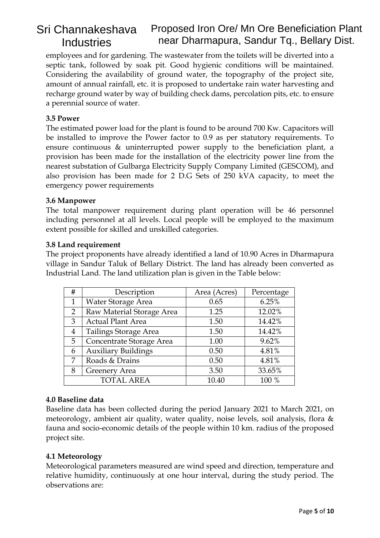employees and for gardening. The wastewater from the toilets will be diverted into a septic tank, followed by soak pit. Good hygienic conditions will be maintained. Considering the availability of ground water, the topography of the project site, amount of annual rainfall, etc. it is proposed to undertake rain water harvesting and recharge ground water by way of building check dams, percolation pits, etc. to ensure a perennial source of water.

# **3.5 Power**

The estimated power load for the plant is found to be around 700 Kw. Capacitors will be installed to improve the Power factor to 0.9 as per statutory requirements. To ensure continuous & uninterrupted power supply to the beneficiation plant, a provision has been made for the installation of the electricity power line from the nearest substation of Gulbarga Electricity Supply Company Limited (GESCOM), and also provision has been made for 2 D.G Sets of 250 kVA capacity, to meet the emergency power requirements

## **3.6 Manpower**

The total manpower requirement during plant operation will be 46 personnel including personnel at all levels. Local people will be employed to the maximum extent possible for skilled and unskilled categories.

#### **3.8 Land requirement**

The project proponents have already identified a land of 10.90 Acres in Dharmapura village in Sandur Taluk of Bellary District. The land has already been converted as Industrial Land. The land utilization plan is given in the Table below:

| #              | Description                | Area (Acres) | Percentage |
|----------------|----------------------------|--------------|------------|
| $\mathbf{1}$   | Water Storage Area         | 0.65         | 6.25%      |
| 2              | Raw Material Storage Area  | 1.25         | 12.02%     |
| 3              | <b>Actual Plant Area</b>   | 1.50         | 14.42%     |
| $\overline{4}$ | Tailings Storage Area      | 1.50         | 14.42%     |
| 5              | Concentrate Storage Area   | 1.00         | 9.62%      |
| 6              | <b>Auxiliary Buildings</b> | 0.50         | 4.81%      |
| 7              | Roads & Drains             | 0.50         | 4.81%      |
| 8              | Greenery Area              | 3.50         | 33.65%     |
|                | <b>TOTAL AREA</b>          | 10.40        | 100 %      |

## **4.0 Baseline data**

Baseline data has been collected during the period January 2021 to March 2021, on meteorology, ambient air quality, water quality, noise levels, soil analysis, flora & fauna and socio-economic details of the people within 10 km. radius of the proposed project site.

## **4.1 Meteorology**

Meteorological parameters measured are wind speed and direction, temperature and relative humidity, continuously at one hour interval, during the study period. The observations are: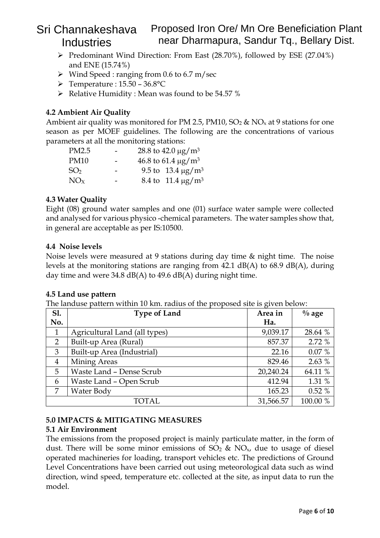- ➢ Predominant Wind Direction: From East (28.70%), followed by ESE (27.04%) and ENE (15.74%)
- $\triangleright$  Wind Speed : ranging from 0.6 to 6.7 m/sec
- $\triangleright$  Temperature : 15.50 36.8°C
- ➢ Relative Humidity : Mean was found to be 54.57 %

# **4.2 Ambient Air Quality**

Ambient air quality was monitored for PM 2.5, PM10,  $SO_2 \& NO_x$  at 9 stations for one season as per MOEF guidelines. The following are the concentrations of various parameters at all the monitoring stations:

| PM2.5           | 28.8 to 42.0 $\mu$ g/m <sup>3</sup> |
|-----------------|-------------------------------------|
| <b>PM10</b>     | 46.8 to 61.4 $\mu$ g/m <sup>3</sup> |
| SO <sub>2</sub> | 9.5 to 13.4 $\mu$ g/m <sup>3</sup>  |
| NOx             | 8.4 to 11.4 $\mu$ g/m <sup>3</sup>  |

# **4.3 Water Quality**

Eight (08) ground water samples and one (01) surface water sample were collected and analysed for various physico -chemical parameters. The water samples show that, in general are acceptable as per IS:10500.

## **4.4 Noise levels**

Noise levels were measured at 9 stations during day time & night time. The noise levels at the monitoring stations are ranging from 42.1 dB(A) to 68.9 dB(A), during day time and were  $34.8 \text{ dB}(A)$  to  $49.6 \text{ dB}(A)$  during night time.

## **4.5 Land use pattern**

The landuse pattern within 10 km. radius of the proposed site is given below:

| <b>S1.</b>                     | <b>Type of Land</b>           | Area in   | $\%$ age |
|--------------------------------|-------------------------------|-----------|----------|
| No.                            |                               | Ha.       |          |
| $\mathbf{1}$                   | Agricultural Land (all types) | 9,039.17  | 28.64 %  |
| 2                              | Built-up Area (Rural)         |           | 2.72 %   |
| 3                              | Built-up Area (Industrial)    |           | 0.07%    |
| Mining Areas<br>$\overline{4}$ |                               | 829.46    | 2.63 %   |
| 5                              | Waste Land - Dense Scrub      |           | 64.11 %  |
| Waste Land - Open Scrub<br>6   |                               | 412.94    | 1.31 %   |
| 7<br>Water Body                |                               | 165.23    | 0.52%    |
|                                | TOTAL                         | 31,566.57 | 100.00 % |

## **5.0 IMPACTS & MITIGATING MEASURES**

## **5.1 Air Environment**

The emissions from the proposed project is mainly particulate matter, in the form of dust. There will be some minor emissions of  $SO_2 \& NO_x$ , due to usage of diesel operated machineries for loading, transport vehicles etc. The predictions of Ground Level Concentrations have been carried out using meteorological data such as wind direction, wind speed, temperature etc. collected at the site, as input data to run the model.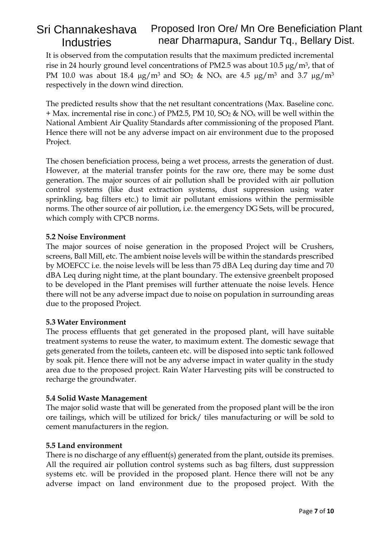It is observed from the computation results that the maximum predicted incremental rise in 24 hourly ground level concentrations of PM2.5 was about 10.5  $\mu$ g/m<sup>3</sup>, that of PM 10.0 was about 18.4  $\mu$ g/m<sup>3</sup> and SO<sub>2</sub> & NO<sub>x</sub> are 4.5  $\mu$ g/m<sup>3</sup> and 3.7  $\mu$ g/m<sup>3</sup> respectively in the down wind direction.

The predicted results show that the net resultant concentrations (Max. Baseline conc.  $+$  Max. incremental rise in conc.) of PM2.5, PM 10, SO<sub>2</sub> & NO<sub>x</sub> will be well within the National Ambient Air Quality Standards after commissioning of the proposed Plant. Hence there will not be any adverse impact on air environment due to the proposed Project.

The chosen beneficiation process, being a wet process, arrests the generation of dust. However, at the material transfer points for the raw ore, there may be some dust generation. The major sources of air pollution shall be provided with air pollution control systems (like dust extraction systems, dust suppression using water sprinkling, bag filters etc.) to limit air pollutant emissions within the permissible norms. The other source of air pollution, i.e. the emergency DG Sets, will be procured, which comply with CPCB norms.

## **5.2 Noise Environment**

The major sources of noise generation in the proposed Project will be Crushers, screens, Ball Mill, etc. The ambient noise levels will be within the standards prescribed by MOEFCC i.e. the noise levels will be less than 75 dBA Leq during day time and 70 dBA Leq during night time, at the plant boundary. The extensive greenbelt proposed to be developed in the Plant premises will further attenuate the noise levels. Hence there will not be any adverse impact due to noise on population in surrounding areas due to the proposed Project.

## **5.3 Water Environment**

The process effluents that get generated in the proposed plant, will have suitable treatment systems to reuse the water, to maximum extent. The domestic sewage that gets generated from the toilets, canteen etc. will be disposed into septic tank followed by soak pit. Hence there will not be any adverse impact in water quality in the study area due to the proposed project. Rain Water Harvesting pits will be constructed to recharge the groundwater.

## **5.4 Solid Waste Management**

The major solid waste that will be generated from the proposed plant will be the iron ore tailings, which will be utilized for brick/ tiles manufacturing or will be sold to cement manufacturers in the region.

## **5.5 Land environment**

There is no discharge of any effluent(s) generated from the plant, outside its premises. All the required air pollution control systems such as bag filters, dust suppression systems etc. will be provided in the proposed plant. Hence there will not be any adverse impact on land environment due to the proposed project. With the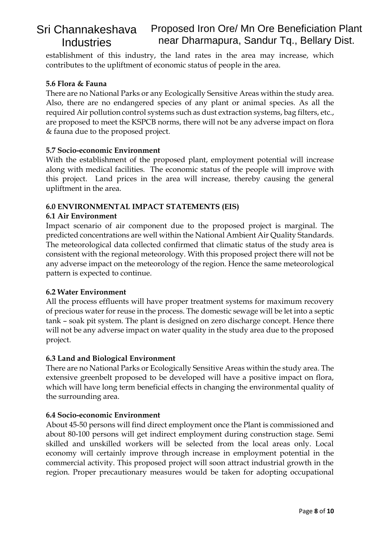establishment of this industry, the land rates in the area may increase, which contributes to the upliftment of economic status of people in the area.

## **5.6 Flora & Fauna**

There are no National Parks or any Ecologically Sensitive Areas within the study area. Also, there are no endangered species of any plant or animal species. As all the required Air pollution control systems such as dust extraction systems, bag filters, etc., are proposed to meet the KSPCB norms, there will not be any adverse impact on flora & fauna due to the proposed project.

#### **5.7 Socio-economic Environment**

With the establishment of the proposed plant, employment potential will increase along with medical facilities. The economic status of the people will improve with this project. Land prices in the area will increase, thereby causing the general upliftment in the area.

#### **6.0 ENVIRONMENTAL IMPACT STATEMENTS (EIS)**

#### **6.1 Air Environment**

Impact scenario of air component due to the proposed project is marginal. The predicted concentrations are well within the National Ambient Air Quality Standards. The meteorological data collected confirmed that climatic status of the study area is consistent with the regional meteorology. With this proposed project there will not be any adverse impact on the meteorology of the region. Hence the same meteorological pattern is expected to continue.

## **6.2 Water Environment**

All the process effluents will have proper treatment systems for maximum recovery of precious water for reuse in the process. The domestic sewage will be let into a septic tank – soak pit system. The plant is designed on zero discharge concept. Hence there will not be any adverse impact on water quality in the study area due to the proposed project.

#### **6.3 Land and Biological Environment**

There are no National Parks or Ecologically Sensitive Areas within the study area. The extensive greenbelt proposed to be developed will have a positive impact on flora, which will have long term beneficial effects in changing the environmental quality of the surrounding area.

#### **6.4 Socio-economic Environment**

About 45-50 persons will find direct employment once the Plant is commissioned and about 80-100 persons will get indirect employment during construction stage. Semi skilled and unskilled workers will be selected from the local areas only. Local economy will certainly improve through increase in employment potential in the commercial activity. This proposed project will soon attract industrial growth in the region. Proper precautionary measures would be taken for adopting occupational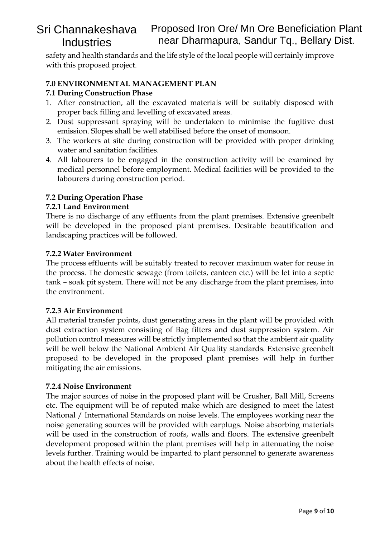safety and health standards and the life style of the local people will certainly improve with this proposed project.

## **7.0 ENVIRONMENTAL MANAGEMENT PLAN**

#### **7.1 During Construction Phase**

- 1. After construction, all the excavated materials will be suitably disposed with proper back filling and levelling of excavated areas.
- 2. Dust suppressant spraying will be undertaken to minimise the fugitive dust emission. Slopes shall be well stabilised before the onset of monsoon.
- 3. The workers at site during construction will be provided with proper drinking water and sanitation facilities.
- 4. All labourers to be engaged in the construction activity will be examined by medical personnel before employment. Medical facilities will be provided to the labourers during construction period.

## **7.2 During Operation Phase**

#### **7.2.1 Land Environment**

There is no discharge of any effluents from the plant premises. Extensive greenbelt will be developed in the proposed plant premises. Desirable beautification and landscaping practices will be followed.

#### **7.2.2 Water Environment**

The process effluents will be suitably treated to recover maximum water for reuse in the process. The domestic sewage (from toilets, canteen etc.) will be let into a septic tank – soak pit system. There will not be any discharge from the plant premises, into the environment.

#### **7.2.3 Air Environment**

All material transfer points, dust generating areas in the plant will be provided with dust extraction system consisting of Bag filters and dust suppression system. Air pollution control measures will be strictly implemented so that the ambient air quality will be well below the National Ambient Air Quality standards. Extensive greenbelt proposed to be developed in the proposed plant premises will help in further mitigating the air emissions.

#### **7.2.4 Noise Environment**

The major sources of noise in the proposed plant will be Crusher, Ball Mill, Screens etc. The equipment will be of reputed make which are designed to meet the latest National / International Standards on noise levels. The employees working near the noise generating sources will be provided with earplugs. Noise absorbing materials will be used in the construction of roofs, walls and floors. The extensive greenbelt development proposed within the plant premises will help in attenuating the noise levels further. Training would be imparted to plant personnel to generate awareness about the health effects of noise.